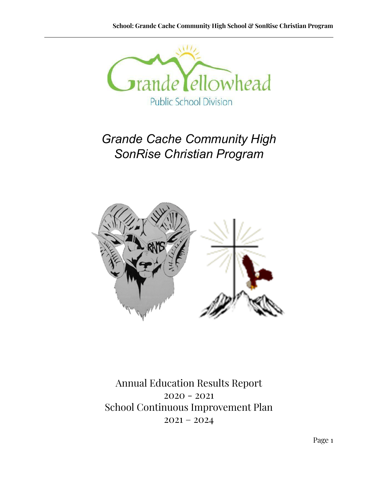

# *Grande Cache Community High SonRise Christian Program*



Annual Education Results Report 2020 - 2021 School Continuous Improvement Plan  $2021 - 2024$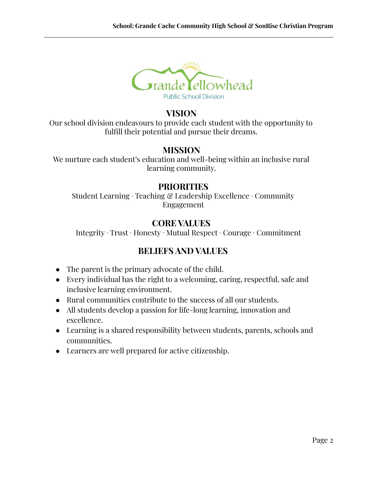

### **VISION**

Our school division endeavours to provide each student with the opportunity to fulfill their potential and pursue their dreams.

## **MISSION**

We nurture each student's education and well-being within an inclusive rural learning community.

## **PRIORITIES**

Student Learning ∙ Teaching & Leadership Excellence ∙ Community Engagement

## **CORE VALUES**

Integrity ∙ Trust ∙ Honesty ∙ Mutual Respect ∙ Courage ∙ Commitment

## **BELIEFS AND VALUES**

- The parent is the primary advocate of the child.
- Every individual has the right to a welcoming, caring, respectful, safe and inclusive learning environment.
- Rural communities contribute to the success of all our students.
- All students develop a passion for life-long learning, innovation and excellence.
- Learning is a shared responsibility between students, parents, schools and communities.
- Learners are well prepared for active citizenship.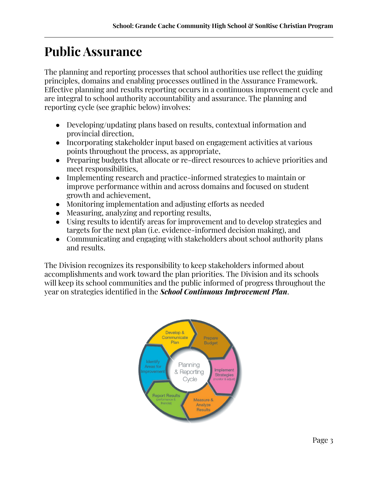# **Public Assurance**

The planning and reporting processes that school authorities use reflect the guiding principles, domains and enabling processes outlined in the Assurance Framework. Effective planning and results reporting occurs in a continuous improvement cycle and are integral to school authority accountability and assurance. The planning and reporting cycle (see graphic below) involves:

- Developing/updating plans based on results, contextual information and provincial direction,
- Incorporating stakeholder input based on engagement activities at various points throughout the process, as appropriate,
- Preparing budgets that allocate or re-direct resources to achieve priorities and meet responsibilities,
- Implementing research and practice-informed strategies to maintain or improve performance within and across domains and focused on student growth and achievement,
- Monitoring implementation and adjusting efforts as needed
- Measuring, analyzing and reporting results,
- Using results to identify areas for improvement and to develop strategies and targets for the next plan (i.e. evidence-informed decision making), and
- Communicating and engaging with stakeholders about school authority plans and results.

The Division recognizes its responsibility to keep stakeholders informed about accomplishments and work toward the plan priorities. The Division and its schools will keep its school communities and the public informed of progress throughout the year on strategies identified in the *School Continuous Improvement Plan*.

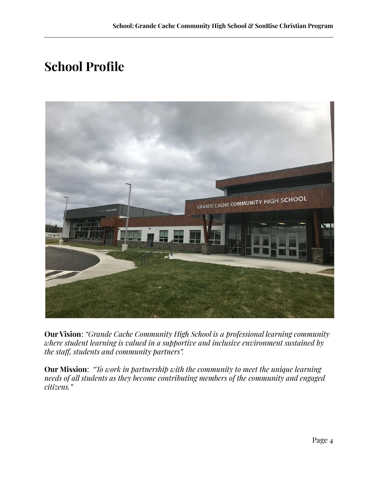# **School Profile**



**Our Vision**: *"Grande Cache Community High School is a professional learning community where student learning is valued in a supportive and inclusive environment sustained by the staff, students and community partners".*

**Our Mission**: *"To work in partnership with the community to meet the unique learning needs of all students as they become contributing members of the community and engaged citizens."*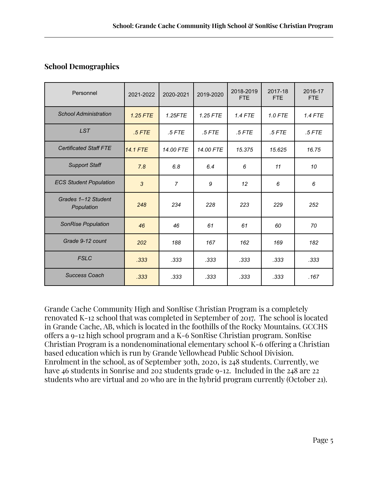### **School Demographics**

| Personnel                         | 2021-2022 | 2020-2021      | 2019-2020 | 2018-2019<br>FTE | 2017-18<br><b>FTE</b> | 2016-17<br><b>FTE</b> |
|-----------------------------------|-----------|----------------|-----------|------------------|-----------------------|-----------------------|
| <b>School Administration</b>      | 1.25 FTE  | $1.25$ FTE     | 1.25 FTE  | $1.4$ FTE        | $1.0$ FTE             | $1.4$ FTE             |
| <b>LST</b>                        | $.5$ FTE  | $.5$ FTE       | $.5$ FTE  | $.5$ FTE         | $.5$ FTE              | $.5$ FTE              |
| <b>Certificated Staff FTE</b>     | 14.1 FTE  | 14.00 FTE      | 14.00 FTE | 15.375           | 15.625                | 16.75                 |
| <b>Support Staff</b>              | 7.8       | 6.8            | 6.4       | 6                | 11                    | 10                    |
| <b>ECS Student Population</b>     | 3         | $\overline{7}$ | 9         | 12               | 6                     | 6                     |
| Grades 1-12 Student<br>Population | 248       | 234            | 228       | 223              | 229                   | 252                   |
| SonRise Population                | 46        | 46             | 61        | 61               | 60                    | 70                    |
| Grade 9-12 count                  | 202       | 188            | 167       | 162              | 169                   | 182                   |
| <b>FSLC</b>                       | .333      | .333           | .333      | .333             | .333                  | .333                  |
| <b>Success Coach</b>              | .333      | .333           | .333      | .333             | .333                  | .167                  |

Grande Cache Community High and SonRise Christian Program is a completely renovated K-12 school that was completed in September of 2017. The school is located in Grande Cache, AB, which is located in the foothills of the Rocky Mountains. GCCHS offers a 9-12 high school program and a K-6 SonRise Christian program. SonRise Christian Program is a nondenominational elementary school K-6 offering a Christian based education which is run by Grande Yellowhead Public School Division. Enrolment in the school, as of September 30th, 2020, is 248 students. Currently, we have 46 students in Sonrise and 202 students grade 9-12. Included in the 248 are 22 students who are virtual and 20 who are in the hybrid program currently (October 21).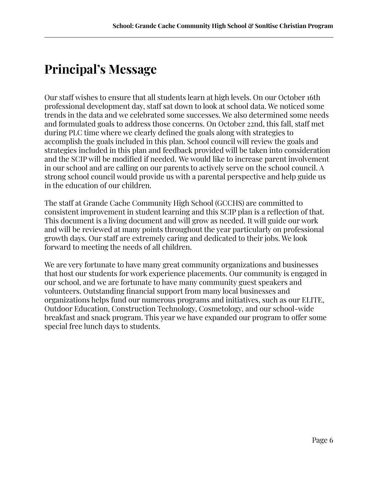# **Principal's Message**

Our staff wishes to ensure that all students learn at high levels. On our October 16th professional development day, staff sat down to look at school data. We noticed some trends in the data and we celebrated some successes. We also determined some needs and formulated goals to address those concerns. On October 22nd, this fall, staff met during PLC time where we clearly defined the goals along with strategies to accomplish the goals included in this plan. School council will review the goals and strategies included in this plan and feedback provided will be taken into consideration and the SCIP will be modified if needed. We would like to increase parent involvement in our school and are calling on our parents to actively serve on the school council. A strong school council would provide us with a parental perspective and help guide us in the education of our children.

The staff at Grande Cache Community High School (GCCHS) are committed to consistent improvement in student learning and this SCIP plan is a reflection of that. This document is a living document and will grow as needed. It will guide our work and will be reviewed at many points throughout the year particularly on professional growth days. Our staff are extremely caring and dedicated to their jobs. We look forward to meeting the needs of all children.

We are very fortunate to have many great community organizations and businesses that host our students for work experience placements. Our community is engaged in our school, and we are fortunate to have many community guest speakers and volunteers. Outstanding financial support from many local businesses and organizations helps fund our numerous programs and initiatives, such as our ELITE, Outdoor Education, Construction Technology, Cosmetology, and our school-wide breakfast and snack program. This year we have expanded our program to offer some special free lunch days to students.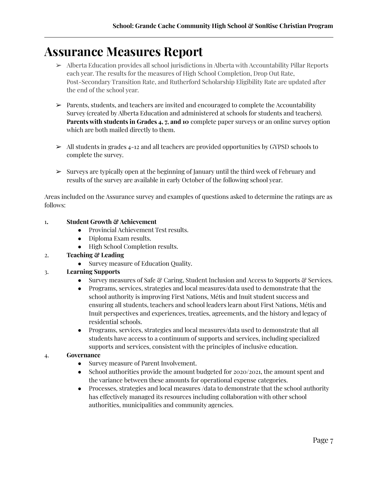# **Assurance Measures Report**

- ➢ Alberta Education provides all school jurisdictions in Alberta with Accountability Pillar Reports each year. The results for the measures of High School Completion, Drop Out Rate, Post-Secondary Transition Rate, and Rutherford Scholarship Eligibility Rate are updated after the end of the school year.
- ➢ Parents, students, and teachers are invited and encouraged to complete the Accountability Survey (created by Alberta Education and administered at schools for students and teachers). **Parents with students in Grades 4, 7, and 10** complete paper surveys or an online survey option which are both mailed directly to them.
- $\geq$  All students in grades 4-12 and all teachers are provided opportunities by GYPSD schools to complete the survey.
- $\geq$  Surveys are typically open at the beginning of January until the third week of February and results of the survey are available in early October of the following school year.

Areas included on the Assurance survey and examples of questions asked to determine the ratings are as follows:

#### 1**. Student Growth & Achievement**

- Provincial Achievement Test results.
- Diploma Exam results.
- High School Completion results.

#### 2. **Teaching & Leading**

• Survey measure of Education Quality.

#### 3. **Learning Supports**

- Survey measures of Safe  $\mathcal{C}$  Caring, Student Inclusion and Access to Supports  $\mathcal{C}$  Services.
- Programs, services, strategies and local measures/data used to demonstrate that the school authority is improving First Nations, Métis and Inuit student success and ensuring all students, teachers and school leaders learn about First Nations, Métis and Inuit perspectives and experiences, treaties, agreements, and the history and legacy of residential schools.
- Programs, services, strategies and local measures/data used to demonstrate that all students have access to a continuum of supports and services, including specialized supports and services, consistent with the principles of inclusive education.

#### 4. **Governance**

- Survey measure of Parent Involvement.
- School authorities provide the amount budgeted for 2020/2021, the amount spent and the variance between these amounts for operational expense categories.
- Processes, strategies and local measures /data to demonstrate that the school authority has effectively managed its resources including collaboration with other school authorities, municipalities and community agencies.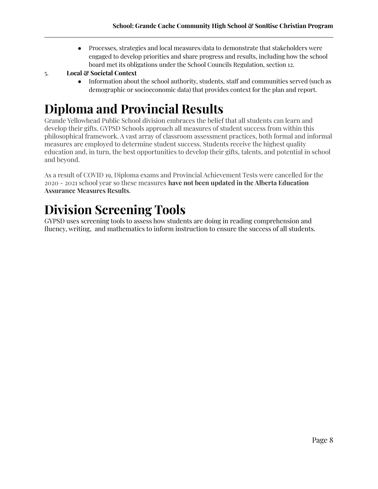● Processes, strategies and local measures/data to demonstrate that stakeholders were engaged to develop priorities and share progress and results, including how the school board met its obligations under the School Councils Regulation, section 12.

#### 5. **Local & Societal Context**

● Information about the school authority, students, staff and communities served (such as demographic or socioeconomic data) that provides context for the plan and report.

# **Diploma and Provincial Results**

Grande Yellowhead Public School division embraces the belief that all students can learn and develop their gifts. GYPSD Schools approach all measures of student success from within this philosophical framework. A vast array of classroom assessment practices, both formal and informal measures are employed to determine student success. Students receive the highest quality education and, in turn, the best opportunities to develop their gifts, talents, and potential in school and beyond.

As a result of COVID 19, Diploma exams and Provincial Achievement Tests were cancelled for the 2020 - 2021 school year so these measures **have not been updated in the Alberta Education Assurance Measures Results**.

# **Division Screening Tools**

GYPSD uses screening tools to assess how students are doing in reading comprehension and fluency, writing, and mathematics to inform instruction to ensure the success of all students.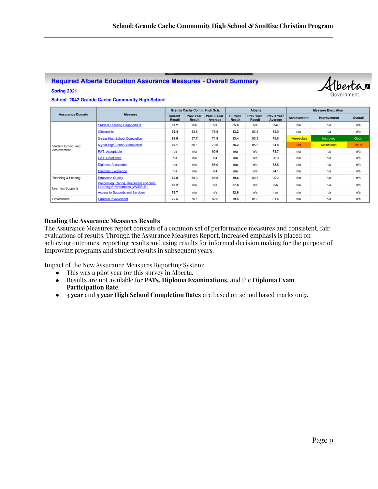#### **Required Alberta Education Assurance Measures - Overall Summary**

### Hberta 30Vernmen

**School: 2042 Grande Cache Community High School** 

Spring 2021

|                               |                                                                                        | Grande Cache Comm. High Sch.    |                                   | Alberta                |                                 | <b>Measure Evaluation</b>         |                        |                    |                   |              |
|-------------------------------|----------------------------------------------------------------------------------------|---------------------------------|-----------------------------------|------------------------|---------------------------------|-----------------------------------|------------------------|--------------------|-------------------|--------------|
| <b>Assurance Domain</b>       | Measure                                                                                | <b>Current</b><br><b>Result</b> | <b>Prev Year</b><br><b>Result</b> | Prev 3 Year<br>Average | <b>Current</b><br><b>Result</b> | <b>Prev Year</b><br><b>Result</b> | Prev 3 Year<br>Average | <b>Achievement</b> | Improvement       | Overall      |
|                               | <b>Student Learning Engagement</b>                                                     | 87.2                            | n/a                               | n/a                    | 85.6                            | n/a                               | n/a                    | n/a                | n/a               | n/a          |
|                               | Citizenship                                                                            | 79.4                            | 83.6                              | 78.8                   | 83.2                            | 83.3                              | 83.0                   | n/a                | n/a               | n/a          |
|                               | 3-year High School Completion                                                          | 84.6                            | 57.7                              | 71.8                   | 83.4                            | 80.3                              | 79.6                   | Intermediate       | Improved          | Good         |
| Student Growth and            | <b>5-year High School Completion</b>                                                   | 79.1                            | 86.1                              | 79.5                   | 86.2                            | 85.3                              | 84.8                   | Low                | <b>Maintained</b> | <b>Issue</b> |
| Achievement                   | <b>PAT: Acceptable</b>                                                                 | n/a                             | n/a                               | 60.6                   | n/a                             | n/a                               | 73.7                   | n/a                | n/a               | n/a          |
|                               | <b>PAT: Excellence</b>                                                                 | n/a                             | n/a                               | 8.4                    | n/a                             | n/a                               | 20.3                   | n/a                | n/a               | n/a          |
|                               | Diploma: Acceptable                                                                    | n/a                             | n/a                               | 66.0                   | n/a                             | n/a                               | 83.6                   | n/a                | n/a               | n/a          |
|                               | <b>Diploma: Excellence</b>                                                             | n/a                             | n/a                               | 9.4                    | n/a                             | n/a                               | 24.1                   | n/a                | n/a               | n/a          |
| <b>Teaching &amp; Leading</b> | <b>Education Quality</b>                                                               | 82.8                            | 88.3                              | 88.8                   | 89.6                            | 90.3                              | 90.2                   | n/a                | n/a               | n/a          |
| <b>Learning Supports</b>      | <b>Welcoming, Caring, Respectful and Safe</b><br><b>Learning Environments (WCRSLE)</b> | 86.2                            | n/a                               | n/a                    | 87.8                            | n/a                               | n/a                    | n/a                | n/a               | n/a          |
|                               | <b>Access to Supports and Services</b>                                                 | 78.7                            | n/a                               | n/a                    | 82.6                            | n/a                               | n/a                    | n/a                | n/a               | n/a          |
| Governance                    | <b>Parental Involvement</b>                                                            | 72.5                            | 76.1                              | 82.5                   | 79.5                            | 81.8                              | 81.4                   | n/a                | n/a               | n/a          |

#### **Reading the Assurance Measures Results**

The Assurance Measures report consists of a common set of performance measures and consistent, fair evaluations of results. Through the Assurance Measures Report, increased emphasis is placed on achieving outcomes, reporting results and using results for informed decision making for the purpose of improving programs and student results in subsequent years.

Impact of the New Assurance Measures Reporting System:

- This was a pilot year for this survey in Alberta.
- Results are not available for **PATs, Diploma Examinations,** and the **Diploma Exam Participation Rate**.
- **3 year** and **5 year High School Completion Rates** are based on school based marks only.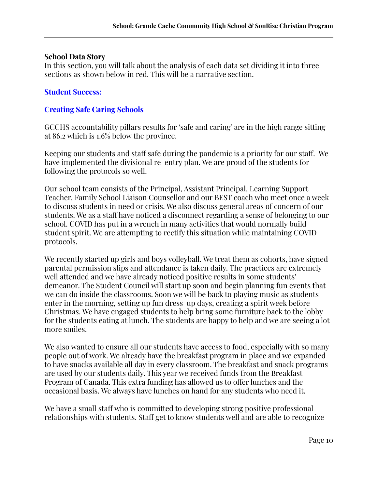#### **School Data Story**

In this section, you will talk about the analysis of each data set dividing it into three sections as shown below in red. This will be a narrative section.

### **Student Success:**

### **Creating Safe Caring Schools**

GCCHS accountability pillars results for 'safe and caring' are in the high range sitting at 86.2 which is 1.6% below the province.

Keeping our students and staff safe during the pandemic is a priority for our staff. We have implemented the divisional re-entry plan. We are proud of the students for following the protocols so well.

Our school team consists of the Principal, Assistant Principal, Learning Support Teacher, Family School Liaison Counsellor and our BEST coach who meet once a week to discuss students in need or crisis. We also discuss general areas of concern of our students. We as a staff have noticed a disconnect regarding a sense of belonging to our school. COVID has put in a wrench in many activities that would normally build student spirit. We are attempting to rectify this situation while maintaining COVID protocols.

We recently started up girls and boys volleyball. We treat them as cohorts, have signed parental permission slips and attendance is taken daily. The practices are extremely well attended and we have already noticed positive results in some students' demeanor. The Student Council will start up soon and begin planning fun events that we can do inside the classrooms. Soon we will be back to playing music as students enter in the morning, setting up fun dress up days, creating a spirit week before Christmas. We have engaged students to help bring some furniture back to the lobby for the students eating at lunch. The students are happy to help and we are seeing a lot more smiles.

We also wanted to ensure all our students have access to food, especially with so many people out of work. We already have the breakfast program in place and we expanded to have snacks available all day in every classroom. The breakfast and snack programs are used by our students daily. This year we received funds from the Breakfast Program of Canada. This extra funding has allowed us to offer lunches and the occasional basis. We always have lunches on hand for any students who need it.

We have a small staff who is committed to developing strong positive professional relationships with students. Staff get to know students well and are able to recognize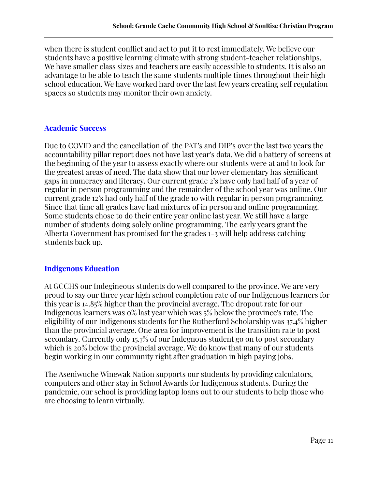when there is student conflict and act to put it to rest immediately. We believe our students have a positive learning climate with strong student-teacher relationships. We have smaller class sizes and teachers are easily accessible to students. It is also an advantage to be able to teach the same students multiple times throughout their high school education. We have worked hard over the last few years creating self regulation spaces so students may monitor their own anxiety.

### **Academic Success**

Due to COVID and the cancellation of the PAT's and DIP's over the last two years the accountability pillar report does not have last year's data. We did a battery of screens at the beginning of the year to assess exactly where our students were at and to look for the greatest areas of need. The data show that our lower elementary has significant gaps in numeracy and literacy. Our current grade 2's have only had half of a year of regular in person programming and the remainder of the school year was online. Our current grade 12's had only half of the grade 10 with regular in person programming. Since that time all grades have had mixtures of in person and online programming. Some students chose to do their entire year online last year. We still have a large number of students doing solely online programming. The early years grant the Alberta Government has promised for the grades 1-3 will help address catching students back up.

#### **Indigenous Education**

At GCCHS our Indegineous students do well compared to the province. We are very proud to say our three year high school completion rate of our Indigenous learners for this year is 14.85% higher than the provincial average. The dropout rate for our Indigenous learners was 0% last year which was 5% below the province's rate. The eligibility of our Indigenous students for the Rutherford Scholarship was 37.4% higher than the provincial average. One area for improvement is the transition rate to post secondary. Currently only 15.7% of our Indegnous student go on to post secondary which is 20% below the provincial average. We do know that many of our students begin working in our community right after graduation in high paying jobs.

The Aseniwuche Winewak Nation supports our students by providing calculators, computers and other stay in School Awards for Indigenous students. During the pandemic, our school is providing laptop loans out to our students to help those who are choosing to learn virtually.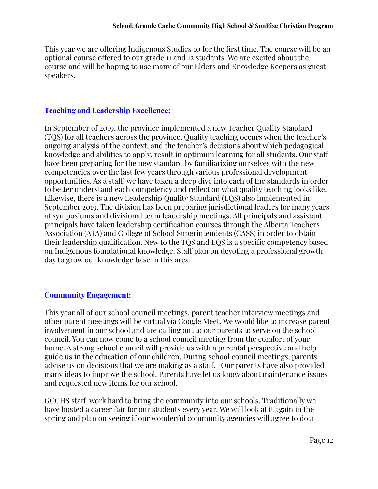This year we are offering Indigenous Studies 10 for the first time. The course will be an optional course offered to our grade 11 and 12 students. We are excited about the course and will be hoping to use many of our Elders and Knowledge Keepers as guest speakers.

#### **Teaching and Leadership Excellence:**

In September of 2019, the province implemented a new Teacher Quality Standard (TQS) for all teachers across the province. Quality teaching occurs when the teacher's ongoing analysis of the context, and the teacher's decisions about which pedagogical knowledge and abilities to apply, result in optimum learning for all students. Our staff have been preparing for the new standard by familiarizing ourselves with the new competencies over the last few years through various professional development opportunities. As a staff, we have taken a deep dive into each of the standards in order to better understand each competency and reflect on what quality teaching looks like. Likewise, there is a new Leadership Quality Standard (LQS) also implemented in September 2019. The division has been preparing jurisdictional leaders for many years at symposiums and divisional team leadership meetings. All principals and assistant principals have taken leadership certification courses through the Alberta Teachers Association (ATA) and College of School Superintendents (CASS) in order to obtain their leadership qualification. New to the TQS and LQS is a specific competency based on Indigenous foundational knowledge. Staff plan on devoting a professional growth day to grow our knowledge base in this area.

### **Community Engagement:**

This year all of our school council meetings, parent teacher interview meetings and other parent meetings will be virtual via Google Meet. We would like to increase parent involvement in our school and are calling out to our parents to serve on the school council. You can now come to a school council meeting from the comfort of your home. A strong school council will provide us with a parental perspective and help guide us in the education of our children. During school council meetings, parents advise us on decisions that we are making as a staff. Our parents have also provided many ideas to improve the school. Parents have let us know about maintenance issues and requested new items for our school.

GCCHS staff work hard to bring the community into our schools. Traditionally we have hosted a career fair for our students every year. We will look at it again in the spring and plan on seeing if our wonderful community agencies will agree to do a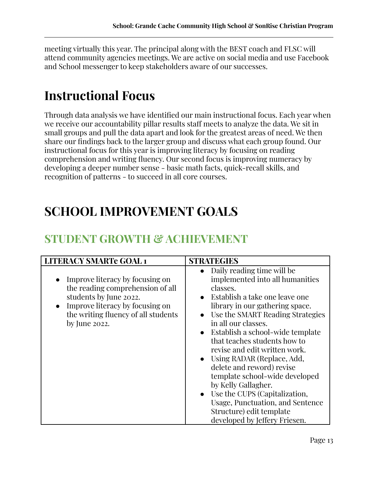meeting virtually this year. The principal along with the BEST coach and FLSC will attend community agencies meetings. We are active on social media and use Facebook and School messenger to keep stakeholders aware of our successes.

# **Instructional Focus**

Through data analysis we have identified our main instructional focus. Each year when we receive our accountability pillar results staff meets to analyze the data. We sit in small groups and pull the data apart and look for the greatest areas of need. We then share our findings back to the larger group and discuss what each group found. Our instructional focus for this year is improving literacy by focusing on reading comprehension and writing fluency. Our second focus is improving numeracy by developing a deeper number sense - basic math facts, quick-recall skills, and recognition of patterns - to succeed in all core courses.

# **SCHOOL IMPROVEMENT GOALS**

# **STUDENT GROWTH & ACHIEVEMENT**

| <b>LITERACY SMARTe GOAL 1</b>                                                                                                                                                               | <b>STRATEGIES</b>                                                                                                                                                                                                                                                                                                                                                                                                                                                                                                                                                                        |
|---------------------------------------------------------------------------------------------------------------------------------------------------------------------------------------------|------------------------------------------------------------------------------------------------------------------------------------------------------------------------------------------------------------------------------------------------------------------------------------------------------------------------------------------------------------------------------------------------------------------------------------------------------------------------------------------------------------------------------------------------------------------------------------------|
| Improve literacy by focusing on<br>the reading comprehension of all<br>students by June 2022.<br>Improve literacy by focusing on<br>the writing fluency of all students<br>by June $2022$ . | • Daily reading time will be<br>implemented into all humanities<br>classes.<br>$\bullet$ Establish a take one leave one<br>library in our gathering space.<br>• Use the SMART Reading Strategies<br>in all our classes.<br>• Establish a school-wide template<br>that teaches students how to<br>revise and edit written work.<br>• Using RADAR (Replace, Add,<br>delete and reword) revise<br>template school-wide developed<br>by Kelly Gallagher.<br>• Use the CUPS (Capitalization,<br>Usage, Punctuation, and Sentence<br>Structure) edit template<br>developed by Jeffery Friesen. |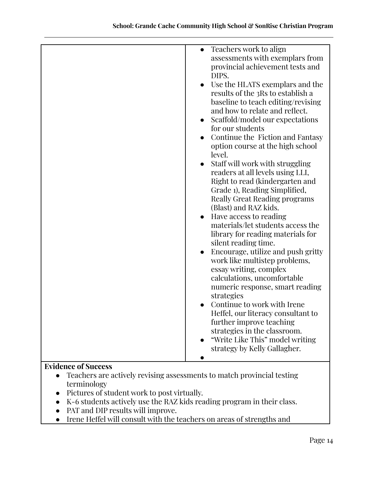| Teachers work to align<br>assessments with exemplars from<br>provincial achievement tests and<br>DIPS.<br>Use the HLATS exemplars and the<br>results of the 3Rs to establish a<br>baseline to teach editing/revising<br>and how to relate and reflect.<br>Scaffold/model our expectations<br>for our students<br>Continue the Fiction and Fantasy<br>option course at the high school<br>level.<br>Staff will work with struggling<br>readers at all levels using LLI,<br>Right to read (kindergarten and<br>Grade 1), Reading Simplified,<br><b>Really Great Reading programs</b><br>(Blast) and RAZ kids.<br>Have access to reading<br>materials/let students access the<br>library for reading materials for<br>silent reading time.<br>Encourage, utilize and push gritty<br>work like multistep problems,<br>essay writing, complex<br>calculations, uncomfortable<br>numeric response, smart reading<br>strategies<br>Continue to work with Irene<br>Heffel, our literacy consultant to<br>further improve teaching<br>strategies in the classroom.<br>"Write Like This" model writing |
|----------------------------------------------------------------------------------------------------------------------------------------------------------------------------------------------------------------------------------------------------------------------------------------------------------------------------------------------------------------------------------------------------------------------------------------------------------------------------------------------------------------------------------------------------------------------------------------------------------------------------------------------------------------------------------------------------------------------------------------------------------------------------------------------------------------------------------------------------------------------------------------------------------------------------------------------------------------------------------------------------------------------------------------------------------------------------------------------|
|                                                                                                                                                                                                                                                                                                                                                                                                                                                                                                                                                                                                                                                                                                                                                                                                                                                                                                                                                                                                                                                                                              |
|                                                                                                                                                                                                                                                                                                                                                                                                                                                                                                                                                                                                                                                                                                                                                                                                                                                                                                                                                                                                                                                                                              |
|                                                                                                                                                                                                                                                                                                                                                                                                                                                                                                                                                                                                                                                                                                                                                                                                                                                                                                                                                                                                                                                                                              |
| strategy by Kelly Gallagher.                                                                                                                                                                                                                                                                                                                                                                                                                                                                                                                                                                                                                                                                                                                                                                                                                                                                                                                                                                                                                                                                 |
|                                                                                                                                                                                                                                                                                                                                                                                                                                                                                                                                                                                                                                                                                                                                                                                                                                                                                                                                                                                                                                                                                              |
|                                                                                                                                                                                                                                                                                                                                                                                                                                                                                                                                                                                                                                                                                                                                                                                                                                                                                                                                                                                                                                                                                              |

- Teachers are actively revising assessments to match provincial testing terminology
- Pictures of student work to post virtually.
- K-6 students actively use the RAZ kids reading program in their class.
- PAT and DIP results will improve.
- Irene Heffel will consult with the teachers on areas of strengths and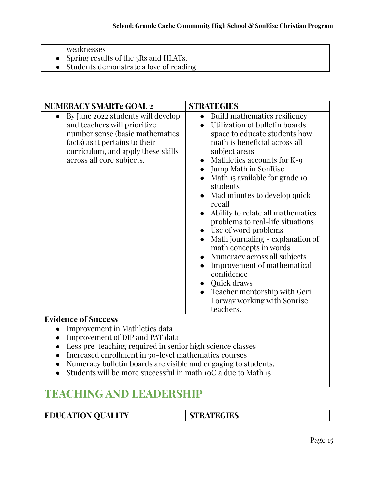- weaknesses
- Spring results of the 3Rs and HLATs.
- **●** Students demonstrate a love of reading

| <b>NUMERACY SMARTe GOAL 2</b>                                                                                                                                                                                            | <b>STRATEGIES</b>                                                                                                                                                                                                                                                                                                                                                                                                                                                                                                                                                                                         |
|--------------------------------------------------------------------------------------------------------------------------------------------------------------------------------------------------------------------------|-----------------------------------------------------------------------------------------------------------------------------------------------------------------------------------------------------------------------------------------------------------------------------------------------------------------------------------------------------------------------------------------------------------------------------------------------------------------------------------------------------------------------------------------------------------------------------------------------------------|
| By June 2022 students will develop<br>$\bullet$<br>and teachers will prioritize<br>number sense (basic mathematics)<br>facts) as it pertains to their<br>curriculum, and apply these skills<br>across all core subjects. | <b>Build mathematics resiliency</b><br>Utilization of bulletin boards<br>space to educate students how<br>math is beneficial across all<br>subject areas<br>Mathletics accounts for K-9<br><b>Jump Math in SonRise</b><br>Math 15 available for grade 10<br>students<br>Mad minutes to develop quick<br>recall<br>Ability to relate all mathematics<br>problems to real-life situations<br>Use of word problems<br>Math journaling - explanation of<br>math concepts in words<br>Numeracy across all subjects<br>Improvement of mathematical<br>confidence<br>Quick draws<br>Teacher mentorship with Geri |
|                                                                                                                                                                                                                          | Lorway working with Sonrise<br>teachers.                                                                                                                                                                                                                                                                                                                                                                                                                                                                                                                                                                  |
| $\mathbf{v}$ . $\mathbf{v}$<br>$\mathbf{a}$                                                                                                                                                                              |                                                                                                                                                                                                                                                                                                                                                                                                                                                                                                                                                                                                           |

- Improvement in Mathletics data
- Improvement of DIP and PAT data
- Less pre-teaching required in senior high science classes
- Increased enrollment in 30-level mathematics courses
- Numeracy bulletin boards are visible and engaging to students.
- Students will be more successful in math  $10C$  a due to Math 15

# **TEACHING AND LEADERSHIP**

**EDUCATION QUALITY STRATEGIES**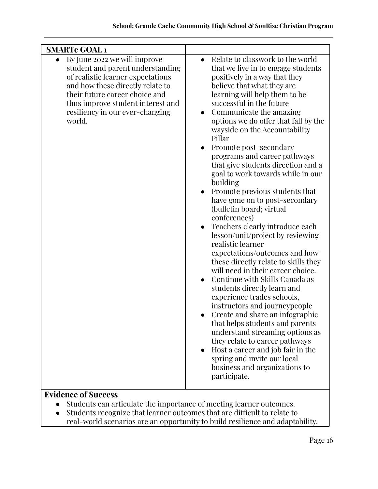| <b>SMARTe GOAL1</b>                                                                                                                                                                                                                                                        |                                                                                                                                                                                                                                                                                                                                                                                                                                                                                                                                                                                                                                                                                                                                                                                                                                                                                                                                                                                                                                                                                                                                                                                                                                                 |
|----------------------------------------------------------------------------------------------------------------------------------------------------------------------------------------------------------------------------------------------------------------------------|-------------------------------------------------------------------------------------------------------------------------------------------------------------------------------------------------------------------------------------------------------------------------------------------------------------------------------------------------------------------------------------------------------------------------------------------------------------------------------------------------------------------------------------------------------------------------------------------------------------------------------------------------------------------------------------------------------------------------------------------------------------------------------------------------------------------------------------------------------------------------------------------------------------------------------------------------------------------------------------------------------------------------------------------------------------------------------------------------------------------------------------------------------------------------------------------------------------------------------------------------|
| By June 2022 we will improve<br>$\bullet$<br>student and parent understanding<br>of realistic learner expectations<br>and how these directly relate to<br>their future career choice and<br>thus improve student interest and<br>resiliency in our ever-changing<br>world. | Relate to classwork to the world<br>$\bullet$<br>that we live in to engage students<br>positively in a way that they<br>believe that what they are<br>learning will help them to be<br>successful in the future<br>Communicate the amazing<br>$\bullet$<br>options we do offer that fall by the<br>wayside on the Accountability<br>Pillar<br>Promote post-secondary<br>programs and career pathways<br>that give students direction and a<br>goal to work towards while in our<br>building<br>Promote previous students that<br>have gone on to post-secondary<br>(bulletin board; virtual<br>conferences)<br>Teachers clearly introduce each<br>$\bullet$<br>lesson/unit/project by reviewing<br>realistic learner<br>expectations/outcomes and how<br>these directly relate to skills they<br>will need in their career choice.<br>Continue with Skills Canada as<br>$\bullet$<br>students directly learn and<br>experience trades schools,<br>instructors and journeypeople<br>Create and share an infographic<br>that helps students and parents<br>understand streaming options as<br>they relate to career pathways<br>Host a career and job fair in the<br>spring and invite our local<br>business and organizations to<br>participate. |

- Students can articulate the importance of meeting learner outcomes.
- Students recognize that learner outcomes that are difficult to relate to real-world scenarios are an opportunity to build resilience and adaptability.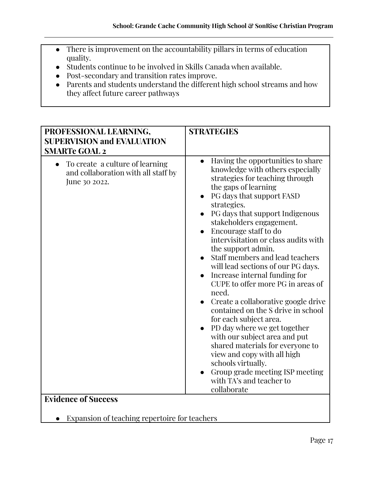- There is improvement on the accountability pillars in terms of education quality.
- Students continue to be involved in Skills Canada when available.
- Post-secondary and transition rates improve.
- Parents and students understand the different high school streams and how they affect future career pathways

| PROFESSIONAL LEARNING,<br><b>SUPERVISION and EVALUATION</b><br><b>SMARTe GOAL 2</b>                  | <b>STRATEGIES</b>                                                                                                                                                                                                                                                                                                                                                                                                                                                                                                                                                                                                                                                                                                                                                                                                                                                   |
|------------------------------------------------------------------------------------------------------|---------------------------------------------------------------------------------------------------------------------------------------------------------------------------------------------------------------------------------------------------------------------------------------------------------------------------------------------------------------------------------------------------------------------------------------------------------------------------------------------------------------------------------------------------------------------------------------------------------------------------------------------------------------------------------------------------------------------------------------------------------------------------------------------------------------------------------------------------------------------|
| To create a culture of learning<br>$\bullet$<br>and collaboration with all staff by<br>June 30 2022. | Having the opportunities to share<br>$\bullet$<br>knowledge with others especially<br>strategies for teaching through<br>the gaps of learning<br>PG days that support FASD<br>strategies.<br>PG days that support Indigenous<br>stakeholders engagement.<br>Encourage staff to do<br>intervisitation or class audits with<br>the support admin.<br>Staff members and lead teachers<br>will lead sections of our PG days.<br>Increase internal funding for<br>$\bullet$<br>CUPE to offer more PG in areas of<br>need.<br>Create a collaborative google drive<br>contained on the S drive in school<br>for each subject area.<br>PD day where we get together<br>with our subject area and put<br>shared materials for everyone to<br>view and copy with all high<br>schools virtually.<br>Group grade meeting ISP meeting<br>with TA's and teacher to<br>collaborate |
| <b>Evidence of Success</b>                                                                           |                                                                                                                                                                                                                                                                                                                                                                                                                                                                                                                                                                                                                                                                                                                                                                                                                                                                     |

● Expansion of teaching repertoire for teachers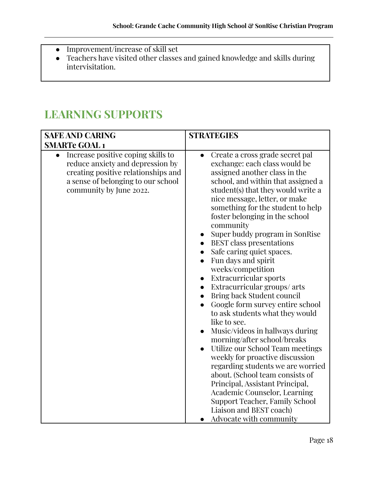- Improvement/increase of skill set
- Teachers have visited other classes and gained knowledge and skills during intervisitation.

# **LEARNING SUPPORTS**

| <b>SAFE AND CARING</b>                                                                                                                                                                      | <b>STRATEGIES</b>                                                                                                                                                                                                                                                                                                                                                                                                                                                                                                                                                                                                                                                                                                                                                                                                                                                                                                                                                                                                                                                                                                                       |
|---------------------------------------------------------------------------------------------------------------------------------------------------------------------------------------------|-----------------------------------------------------------------------------------------------------------------------------------------------------------------------------------------------------------------------------------------------------------------------------------------------------------------------------------------------------------------------------------------------------------------------------------------------------------------------------------------------------------------------------------------------------------------------------------------------------------------------------------------------------------------------------------------------------------------------------------------------------------------------------------------------------------------------------------------------------------------------------------------------------------------------------------------------------------------------------------------------------------------------------------------------------------------------------------------------------------------------------------------|
| <b>SMARTe GOAL1</b>                                                                                                                                                                         |                                                                                                                                                                                                                                                                                                                                                                                                                                                                                                                                                                                                                                                                                                                                                                                                                                                                                                                                                                                                                                                                                                                                         |
| Increase positive coping skills to<br>$\bullet$<br>reduce anxiety and depression by<br>creating positive relationships and<br>a sense of belonging to our school<br>community by June 2022. | Create a cross grade secret pal<br>$\bullet$<br>exchange: each class would be<br>assigned another class in the<br>school, and within that assigned a<br>student(s) that they would write a<br>nice message, letter, or make<br>something for the student to help<br>foster belonging in the school<br>community<br>Super buddy program in SonRise<br>$\bullet$<br><b>BEST</b> class presentations<br>$\bullet$<br>Safe caring quiet spaces.<br>Fun days and spirit<br>$\bullet$<br>weeks/competition<br>Extracurricular sports<br>$\bullet$<br>Extracurricular groups/ arts<br>$\bullet$<br>Bring back Student council<br>Google form survey entire school<br>$\bullet$<br>to ask students what they would<br>like to see.<br>Music/videos in hallways during<br>$\bullet$<br>morning/after school/breaks<br>Utilize our School Team meetings<br>$\bullet$<br>weekly for proactive discussion<br>regarding students we are worried<br>about. (School team consists of<br>Principal, Assistant Principal,<br>Academic Counselor, Learning<br><b>Support Teacher, Family School</b><br>Liaison and BEST coach)<br>Advocate with community |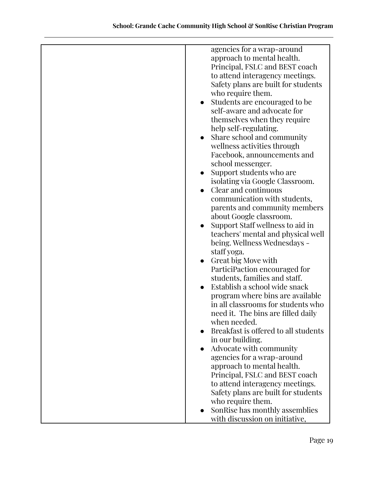| agencies for a wrap-around           |
|--------------------------------------|
| approach to mental health.           |
| Principal, FSLC and BEST coach       |
|                                      |
| to attend interagency meetings.      |
| Safety plans are built for students  |
| who require them.                    |
| Students are encouraged to be        |
| self-aware and advocate for          |
| themselves when they require         |
| help self-regulating.                |
| Share school and community           |
| wellness activities through          |
|                                      |
| Facebook, announcements and          |
| school messenger.                    |
| Support students who are             |
| isolating via Google Classroom.      |
| Clear and continuous                 |
| communication with students,         |
| parents and community members        |
| about Google classroom.              |
| Support Staff wellness to aid in     |
|                                      |
| teachers' mental and physical well   |
| being. Wellness Wednesdays -         |
| staff yoga.                          |
| Great big Move with                  |
| ParticiPaction encouraged for        |
| students, families and staff.        |
| Establish a school wide snack        |
| program where bins are available     |
| in all classrooms for students who   |
| need it. The bins are filled daily   |
| when needed.                         |
| Breakfast is offered to all students |
|                                      |
| in our building.                     |
| Advocate with community<br>$\bullet$ |
| agencies for a wrap-around           |
| approach to mental health.           |
| Principal, FSLC and BEST coach       |
| to attend interagency meetings.      |
| Safety plans are built for students  |
| who require them.                    |
| SonRise has monthly assemblies       |
| with discussion on initiative,       |
|                                      |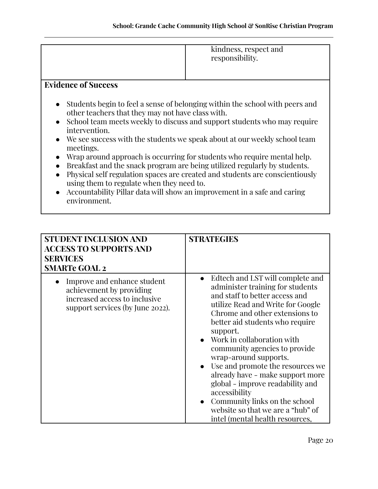| kindness, respect and<br>responsibility. |
|------------------------------------------|
|                                          |

- Students begin to feel a sense of belonging within the school with peers and other teachers that they may not have class with.
- School team meets weekly to discuss and support students who may require intervention.
- We see success with the students we speak about at our weekly school team meetings.
- Wrap around approach is occurring for students who require mental help.
- Breakfast and the snack program are being utilized regularly by students.
- Physical self regulation spaces are created and students are conscientiously using them to regulate when they need to.
- Accountability Pillar data will show an improvement in a safe and caring environment.

| <b>STUDENT INCLUSION AND</b><br><b>ACCESS TO SUPPORTS AND</b><br><b>SERVICES</b><br><b>SMARTe GOAL 2</b>                     | <b>STRATEGIES</b>                                                                                                                                                                                                                                                                                                                                                                                                                                                                                                                                          |
|------------------------------------------------------------------------------------------------------------------------------|------------------------------------------------------------------------------------------------------------------------------------------------------------------------------------------------------------------------------------------------------------------------------------------------------------------------------------------------------------------------------------------------------------------------------------------------------------------------------------------------------------------------------------------------------------|
| Improve and enhance student<br>achievement by providing<br>increased access to inclusive<br>support services (by June 2022). | Edtech and LST will complete and<br>administer training for students<br>and staff to better access and<br>utilize Read and Write for Google<br>Chrome and other extensions to<br>better aid students who require<br>support.<br>Work in collaboration with<br>community agencies to provide<br>wrap-around supports.<br>Use and promote the resources we<br>already have - make support more<br>global - improve readability and<br>accessibility<br>Community links on the school<br>website so that we are a "hub" of<br>intel (mental health resources, |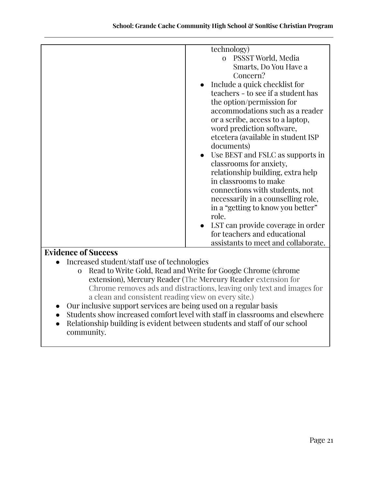| technology)                         |
|-------------------------------------|
| o PSSST World, Media                |
| Smarts, Do You Have a               |
| Concern?                            |
| Include a quick checklist for       |
| teachers - to see if a student has  |
| the option/permission for           |
| accommodations such as a reader     |
| or a scribe, access to a laptop,    |
| word prediction software,           |
| etcetera (available in student ISP  |
| documents)                          |
| Use BEST and FSLC as supports in    |
| classrooms for anxiety,             |
| relationship building, extra help   |
| in classrooms to make               |
| connections with students, not      |
| necessarily in a counselling role,  |
| in a "getting to know you better"   |
| role.                               |
| LST can provide coverage in order   |
| for teachers and educational        |
| assistants to meet and collaborate. |

- Increased student/staff use of technologies
	- o Read to Write Gold, Read and Write for Google Chrome (chrome extension), Mercury Reader (The **Mercury Reader** extension for Chrome removes ads and distractions, leaving only text and images for a clean and consistent reading view on every site.)
- Our inclusive support services are being used on a regular basis
- Students show increased comfort level with staff in classrooms and elsewhere
- Relationship building is evident between students and staff of our school community.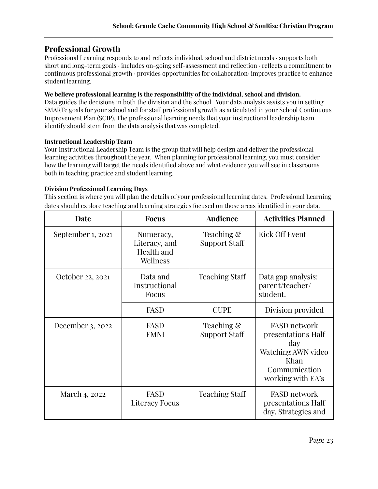### **Professional Growth**

Professional Learning responds to and reflects individual, school and district needs · supports both short and long-term goals · includes on-going self-assessment and reflection · reflects a commitment to continuous professional growth · provides opportunities for collaboration· improves practice to enhance student learning.

#### **We believe professional learning is the responsibility of the individual, school and division.**

Data guides the decisions in both the division and the school. Your data analysis assists you in setting SMARTe goals for your school and for staff professional growth as articulated in your School Continuous Improvement Plan (SCIP). The professional learning needs that your instructional leadership team identify should stem from the data analysis that was completed.

#### **Instructional Leadership Team**

Your Instructional Leadership Team is the group that will help design and deliver the professional learning activities throughout the year. When planning for professional learning, you must consider how the learning will target the needs identified above and what evidence you will see in classrooms both in teaching practice and student learning.

#### **Division Professional Learning Days**

This section is where you will plan the details of your professional learning dates. Professional Learning dates should explore teaching and learning strategies focused on those areas identified in your data.

| Date              | <b>Focus</b>                                         | <b>Audience</b>             | <b>Activities Planned</b>                                                                                            |
|-------------------|------------------------------------------------------|-----------------------------|----------------------------------------------------------------------------------------------------------------------|
| September 1, 2021 | Numeracy,<br>Literacy, and<br>Health and<br>Wellness | Teaching &<br>Support Staff | Kick Off Event                                                                                                       |
| October 22, 2021  | Data and<br>Instructional<br>Focus                   | <b>Teaching Staff</b>       | Data gap analysis:<br>parent/teacher/<br>student.                                                                    |
|                   | FASD                                                 | <b>CUPE</b>                 | Division provided                                                                                                    |
| December 3, 2022  | <b>FASD</b><br><b>FMNI</b>                           | Teaching &<br>Support Staff | <b>FASD</b> network<br>presentations Half<br>day<br>Watching AWN video<br>Khan<br>Communication<br>working with EA's |
| March 4, 2022     | FASD<br><b>Literacy Focus</b>                        | <b>Teaching Staff</b>       | <b>FASD network</b><br>presentations Half<br>day. Strategies and                                                     |